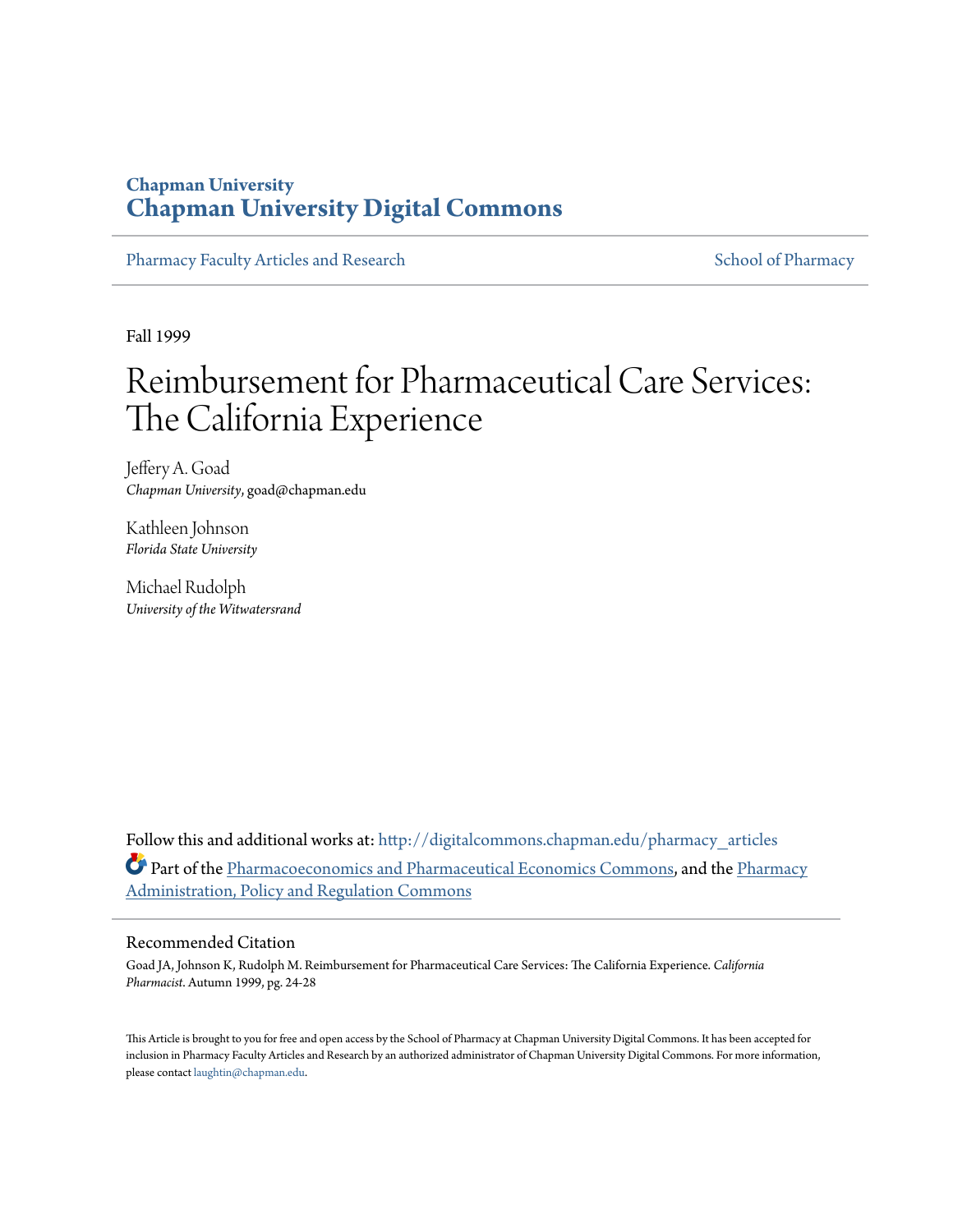## **Chapman University [Chapman University Digital Commons](http://digitalcommons.chapman.edu?utm_source=digitalcommons.chapman.edu%2Fpharmacy_articles%2F56&utm_medium=PDF&utm_campaign=PDFCoverPages)**

[Pharmacy Faculty Articles and Research](http://digitalcommons.chapman.edu/pharmacy_articles?utm_source=digitalcommons.chapman.edu%2Fpharmacy_articles%2F56&utm_medium=PDF&utm_campaign=PDFCoverPages) [School of Pharmacy](http://digitalcommons.chapman.edu/cusp?utm_source=digitalcommons.chapman.edu%2Fpharmacy_articles%2F56&utm_medium=PDF&utm_campaign=PDFCoverPages)

Fall 1999

# Reimbursement for Pharmaceutical Care Services: The California Experience

Jeffery A. Goad *Chapman University*, goad@chapman.edu

Kathleen Johnson *Florida State University*

Michael Rudolph *University of the Witwatersrand*

Follow this and additional works at: [http://digitalcommons.chapman.edu/pharmacy\\_articles](http://digitalcommons.chapman.edu/pharmacy_articles?utm_source=digitalcommons.chapman.edu%2Fpharmacy_articles%2F56&utm_medium=PDF&utm_campaign=PDFCoverPages) Part of the [Pharmacoeconomics and Pharmaceutical Economics Commons](http://network.bepress.com/hgg/discipline/736?utm_source=digitalcommons.chapman.edu%2Fpharmacy_articles%2F56&utm_medium=PDF&utm_campaign=PDFCoverPages), and the [Pharmacy](http://network.bepress.com/hgg/discipline/732?utm_source=digitalcommons.chapman.edu%2Fpharmacy_articles%2F56&utm_medium=PDF&utm_campaign=PDFCoverPages) [Administration, Policy and Regulation Commons](http://network.bepress.com/hgg/discipline/732?utm_source=digitalcommons.chapman.edu%2Fpharmacy_articles%2F56&utm_medium=PDF&utm_campaign=PDFCoverPages)

#### Recommended Citation

Goad JA, Johnson K, Rudolph M. Reimbursement for Pharmaceutical Care Services: The California Experience. *California Pharmacist*. Autumn 1999, pg. 24-28

This Article is brought to you for free and open access by the School of Pharmacy at Chapman University Digital Commons. It has been accepted for inclusion in Pharmacy Faculty Articles and Research by an authorized administrator of Chapman University Digital Commons. For more information, please contact [laughtin@chapman.edu.](mailto:laughtin@chapman.edu)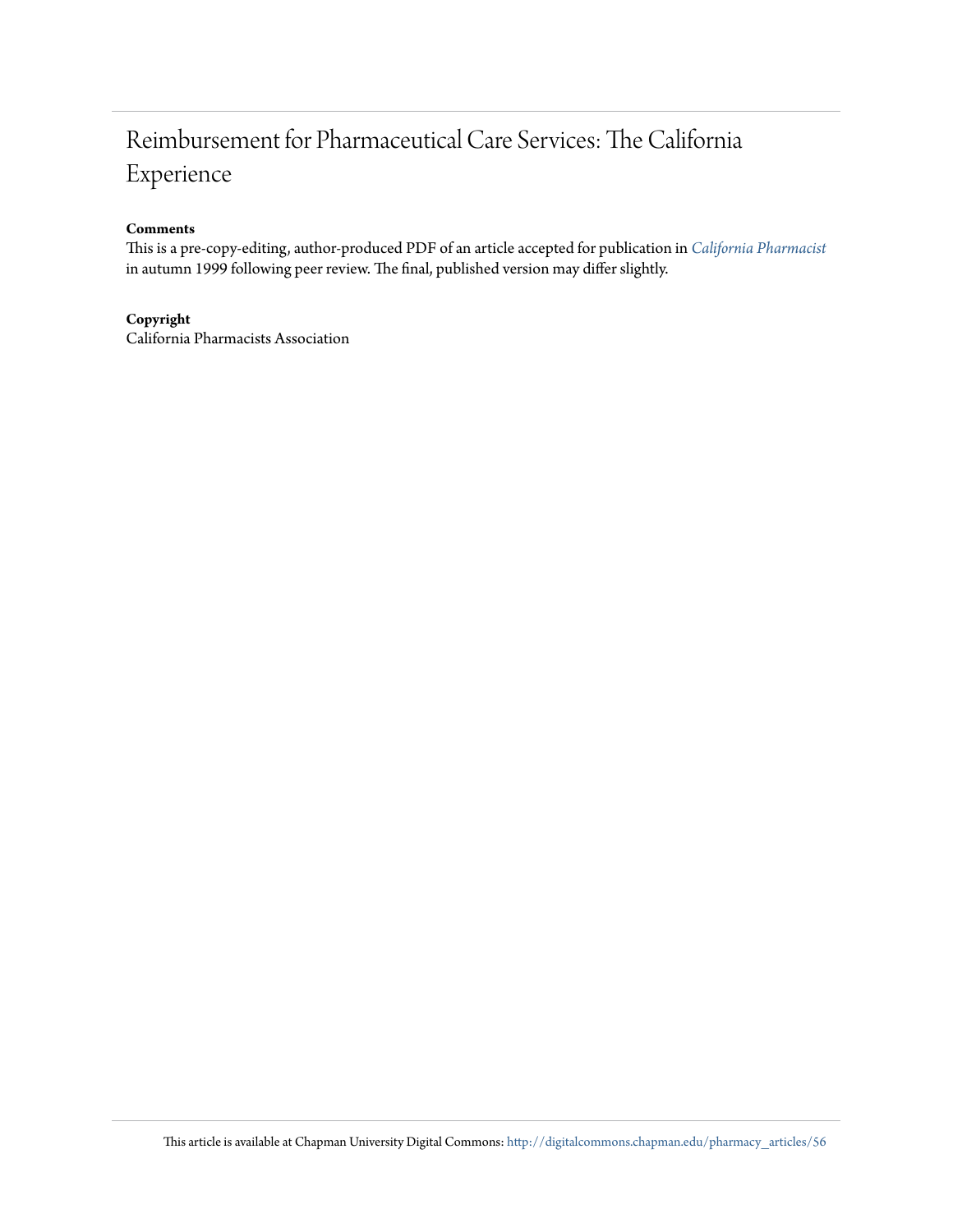## Reimbursement for Pharmaceutical Care Services: The California Experience

#### **Comments**

This is a pre-copy-editing, author-produced PDF of an article accepted for publication in *[California Pharmacist](http://www.cpha.com/Communications/California-Pharmacist-Journal)* in autumn 1999 following peer review. The final, published version may differ slightly.

#### **Copyright**

California Pharmacists Association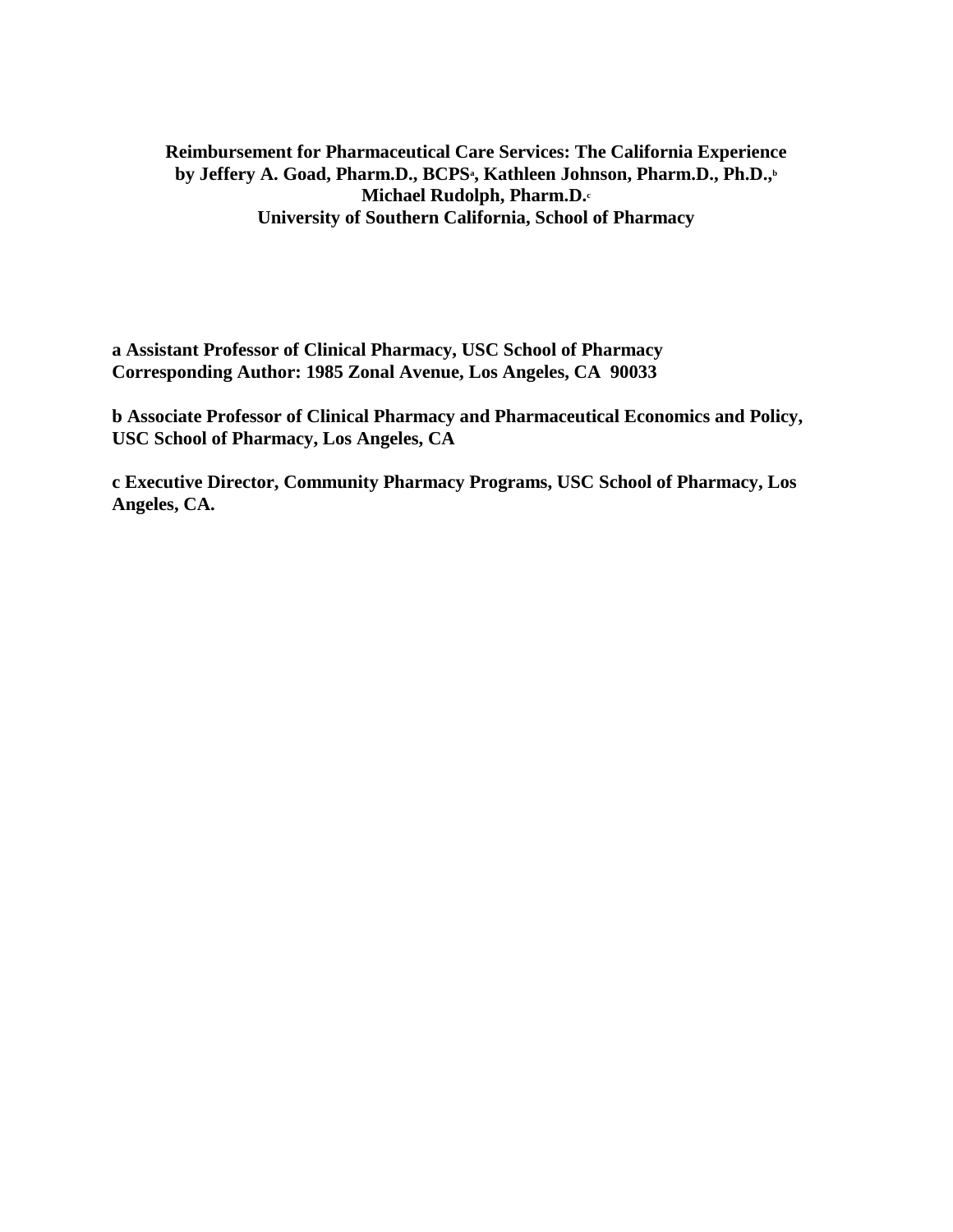## **Reimbursement for Pharmaceutical Care Services: The California Experience by Jeffery A. Goad, Pharm.D., BCPS<sup>a</sup> , Kathleen Johnson, Pharm.D., Ph.D.,<sup>b</sup> Michael Rudolph, Pharm.D.<sup>c</sup> University of Southern California, School of Pharmacy**

**a Assistant Professor of Clinical Pharmacy, USC School of Pharmacy Corresponding Author: 1985 Zonal Avenue, Los Angeles, CA 90033**

**b Associate Professor of Clinical Pharmacy and Pharmaceutical Economics and Policy, USC School of Pharmacy, Los Angeles, CA** 

**c Executive Director, Community Pharmacy Programs, USC School of Pharmacy, Los Angeles, CA.**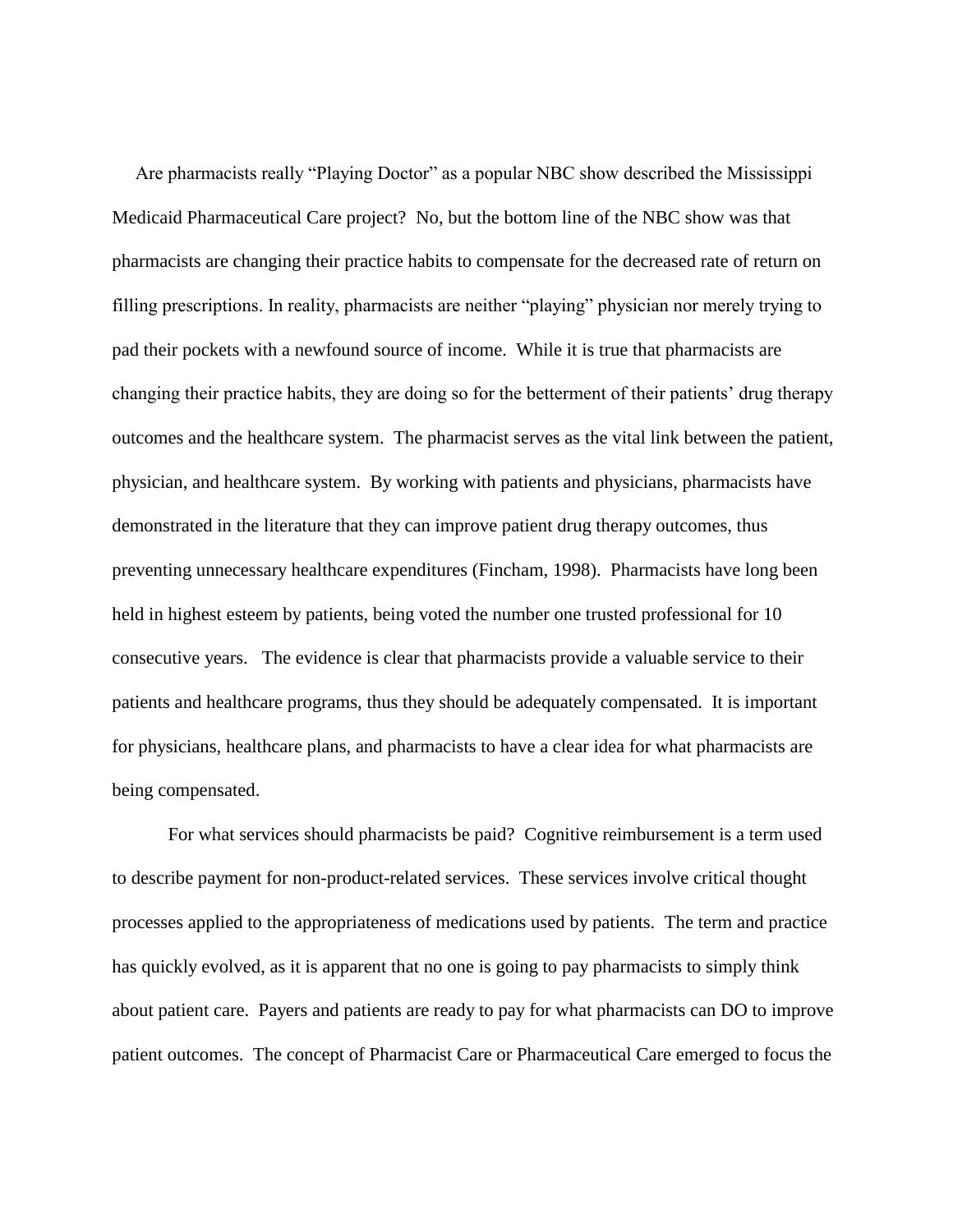Are pharmacists really "Playing Doctor" as a popular NBC show described the Mississippi Medicaid Pharmaceutical Care project? No, but the bottom line of the NBC show was that pharmacists are changing their practice habits to compensate for the decreased rate of return on filling prescriptions. In reality, pharmacists are neither "playing" physician nor merely trying to pad their pockets with a newfound source of income. While it is true that pharmacists are changing their practice habits, they are doing so for the betterment of their patients' drug therapy outcomes and the healthcare system. The pharmacist serves as the vital link between the patient, physician, and healthcare system. By working with patients and physicians, pharmacists have demonstrated in the literature that they can improve patient drug therapy outcomes, thus preventing unnecessary healthcare expenditures (Fincham, 1998). Pharmacists have long been held in highest esteem by patients, being voted the number one trusted professional for 10 consecutive years. The evidence is clear that pharmacists provide a valuable service to their patients and healthcare programs, thus they should be adequately compensated. It is important for physicians, healthcare plans, and pharmacists to have a clear idea for what pharmacists are being compensated.

For what services should pharmacists be paid? Cognitive reimbursement is a term used to describe payment for non-product-related services. These services involve critical thought processes applied to the appropriateness of medications used by patients. The term and practice has quickly evolved, as it is apparent that no one is going to pay pharmacists to simply think about patient care. Payers and patients are ready to pay for what pharmacists can DO to improve patient outcomes. The concept of Pharmacist Care or Pharmaceutical Care emerged to focus the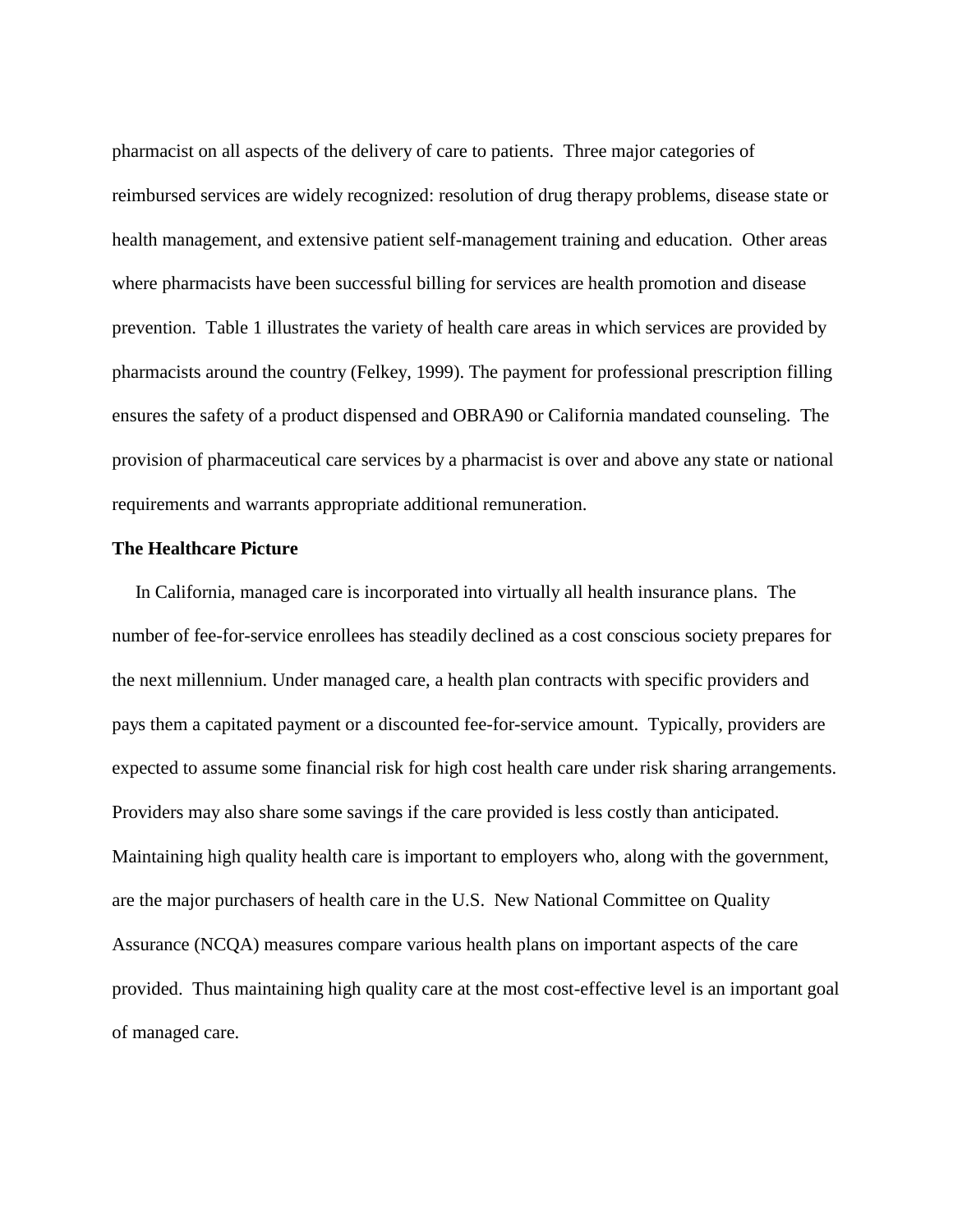pharmacist on all aspects of the delivery of care to patients. Three major categories of reimbursed services are widely recognized: resolution of drug therapy problems, disease state or health management, and extensive patient self-management training and education. Other areas where pharmacists have been successful billing for services are health promotion and disease prevention. Table 1 illustrates the variety of health care areas in which services are provided by pharmacists around the country (Felkey, 1999). The payment for professional prescription filling ensures the safety of a product dispensed and OBRA90 or California mandated counseling. The provision of pharmaceutical care services by a pharmacist is over and above any state or national requirements and warrants appropriate additional remuneration.

#### **The Healthcare Picture**

 In California, managed care is incorporated into virtually all health insurance plans. The number of fee-for-service enrollees has steadily declined as a cost conscious society prepares for the next millennium. Under managed care, a health plan contracts with specific providers and pays them a capitated payment or a discounted fee-for-service amount. Typically, providers are expected to assume some financial risk for high cost health care under risk sharing arrangements. Providers may also share some savings if the care provided is less costly than anticipated. Maintaining high quality health care is important to employers who, along with the government, are the major purchasers of health care in the U.S. New National Committee on Quality Assurance (NCQA) measures compare various health plans on important aspects of the care provided. Thus maintaining high quality care at the most cost-effective level is an important goal of managed care.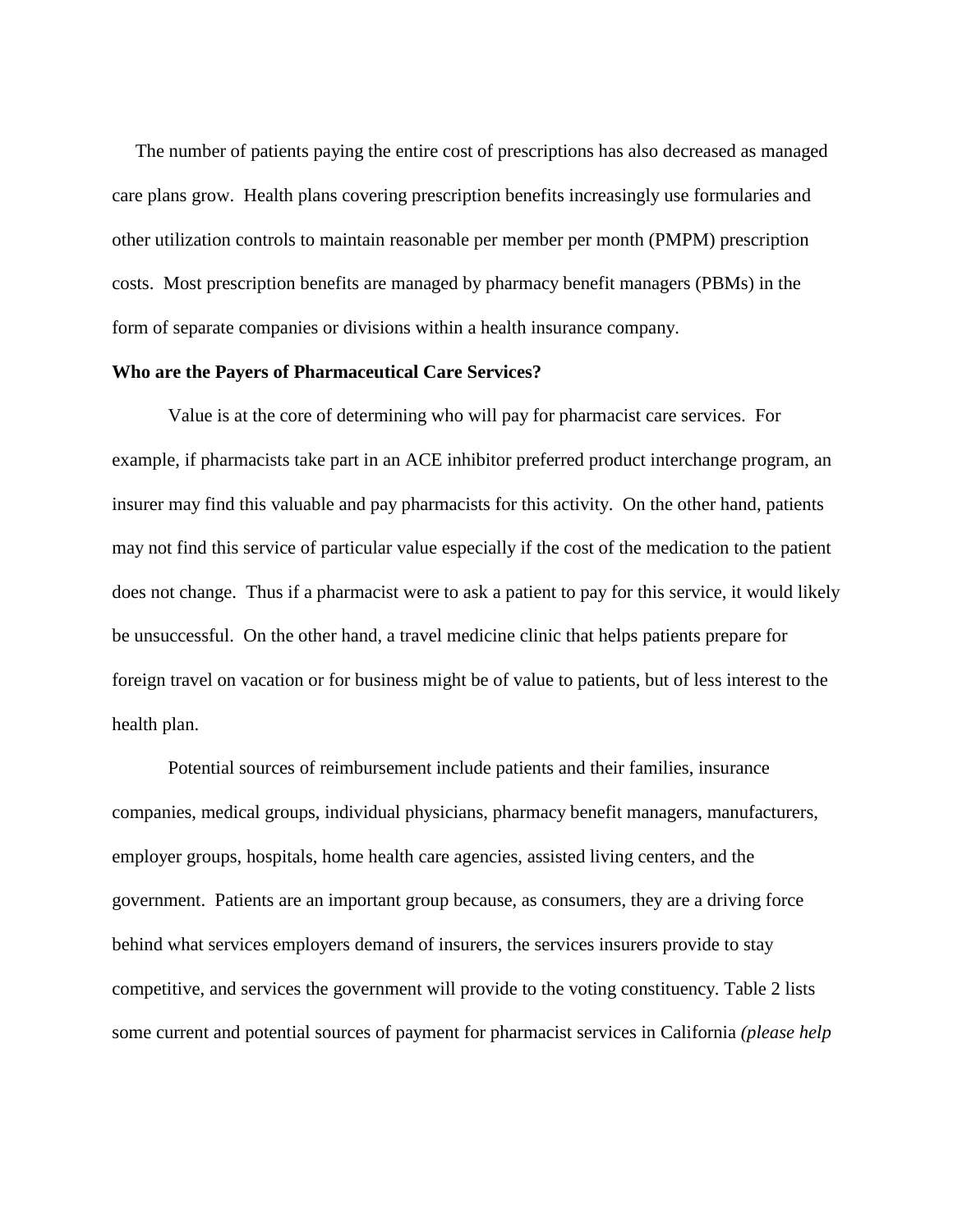The number of patients paying the entire cost of prescriptions has also decreased as managed care plans grow. Health plans covering prescription benefits increasingly use formularies and other utilization controls to maintain reasonable per member per month (PMPM) prescription costs. Most prescription benefits are managed by pharmacy benefit managers (PBMs) in the form of separate companies or divisions within a health insurance company.

#### **Who are the Payers of Pharmaceutical Care Services?**

Value is at the core of determining who will pay for pharmacist care services. For example, if pharmacists take part in an ACE inhibitor preferred product interchange program, an insurer may find this valuable and pay pharmacists for this activity. On the other hand, patients may not find this service of particular value especially if the cost of the medication to the patient does not change. Thus if a pharmacist were to ask a patient to pay for this service, it would likely be unsuccessful. On the other hand, a travel medicine clinic that helps patients prepare for foreign travel on vacation or for business might be of value to patients, but of less interest to the health plan.

Potential sources of reimbursement include patients and their families, insurance companies, medical groups, individual physicians, pharmacy benefit managers, manufacturers, employer groups, hospitals, home health care agencies, assisted living centers, and the government. Patients are an important group because, as consumers, they are a driving force behind what services employers demand of insurers, the services insurers provide to stay competitive, and services the government will provide to the voting constituency. Table 2 lists some current and potential sources of payment for pharmacist services in California *(please help*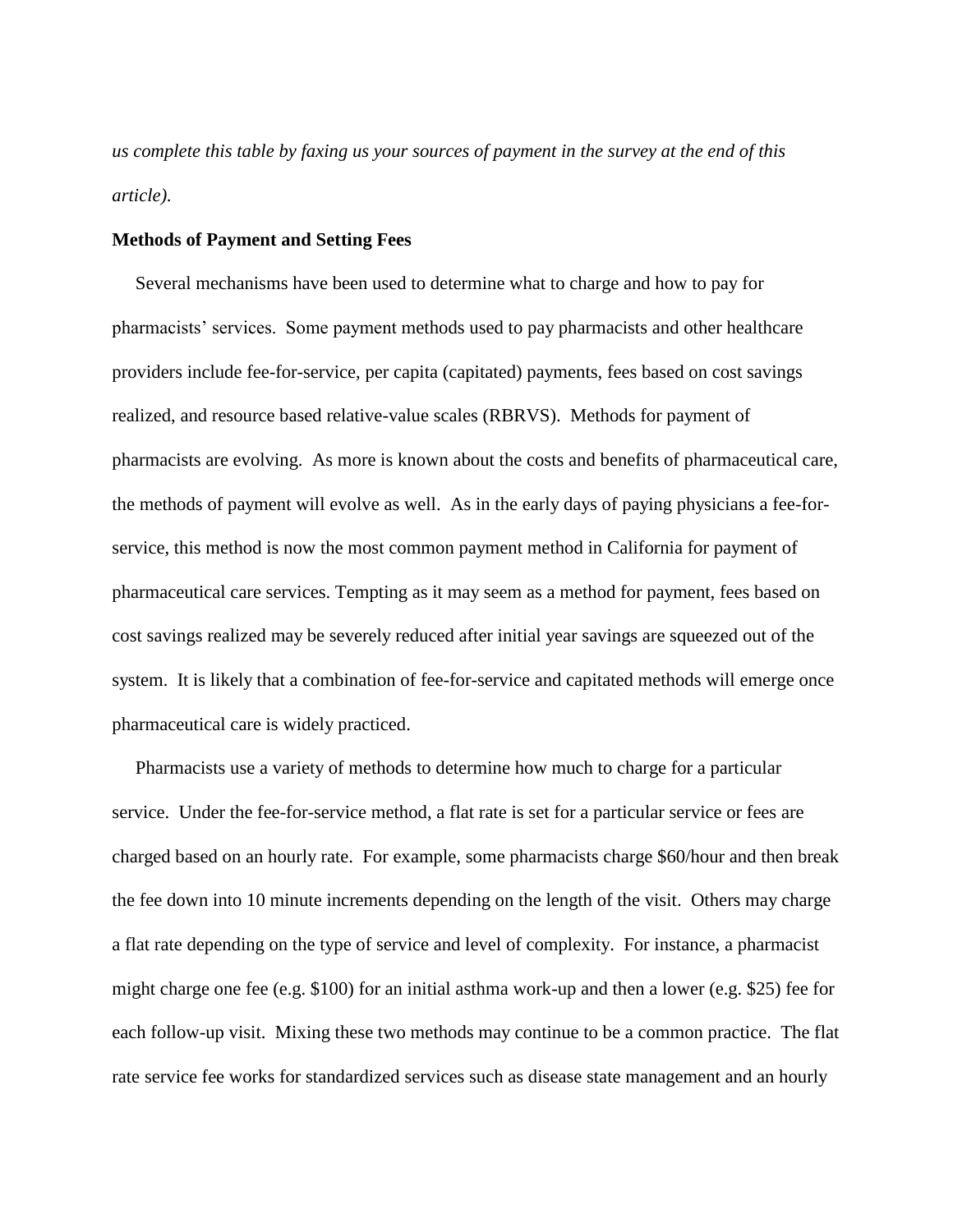*us complete this table by faxing us your sources of payment in the survey at the end of this article)*.

#### **Methods of Payment and Setting Fees**

 Several mechanisms have been used to determine what to charge and how to pay for pharmacists' services. Some payment methods used to pay pharmacists and other healthcare providers include fee-for-service, per capita (capitated) payments, fees based on cost savings realized, and resource based relative-value scales (RBRVS). Methods for payment of pharmacists are evolving. As more is known about the costs and benefits of pharmaceutical care, the methods of payment will evolve as well. As in the early days of paying physicians a fee-forservice, this method is now the most common payment method in California for payment of pharmaceutical care services. Tempting as it may seem as a method for payment, fees based on cost savings realized may be severely reduced after initial year savings are squeezed out of the system. It is likely that a combination of fee-for-service and capitated methods will emerge once pharmaceutical care is widely practiced.

 Pharmacists use a variety of methods to determine how much to charge for a particular service. Under the fee-for-service method, a flat rate is set for a particular service or fees are charged based on an hourly rate. For example, some pharmacists charge \$60/hour and then break the fee down into 10 minute increments depending on the length of the visit. Others may charge a flat rate depending on the type of service and level of complexity. For instance, a pharmacist might charge one fee (e.g. \$100) for an initial asthma work-up and then a lower (e.g. \$25) fee for each follow-up visit. Mixing these two methods may continue to be a common practice. The flat rate service fee works for standardized services such as disease state management and an hourly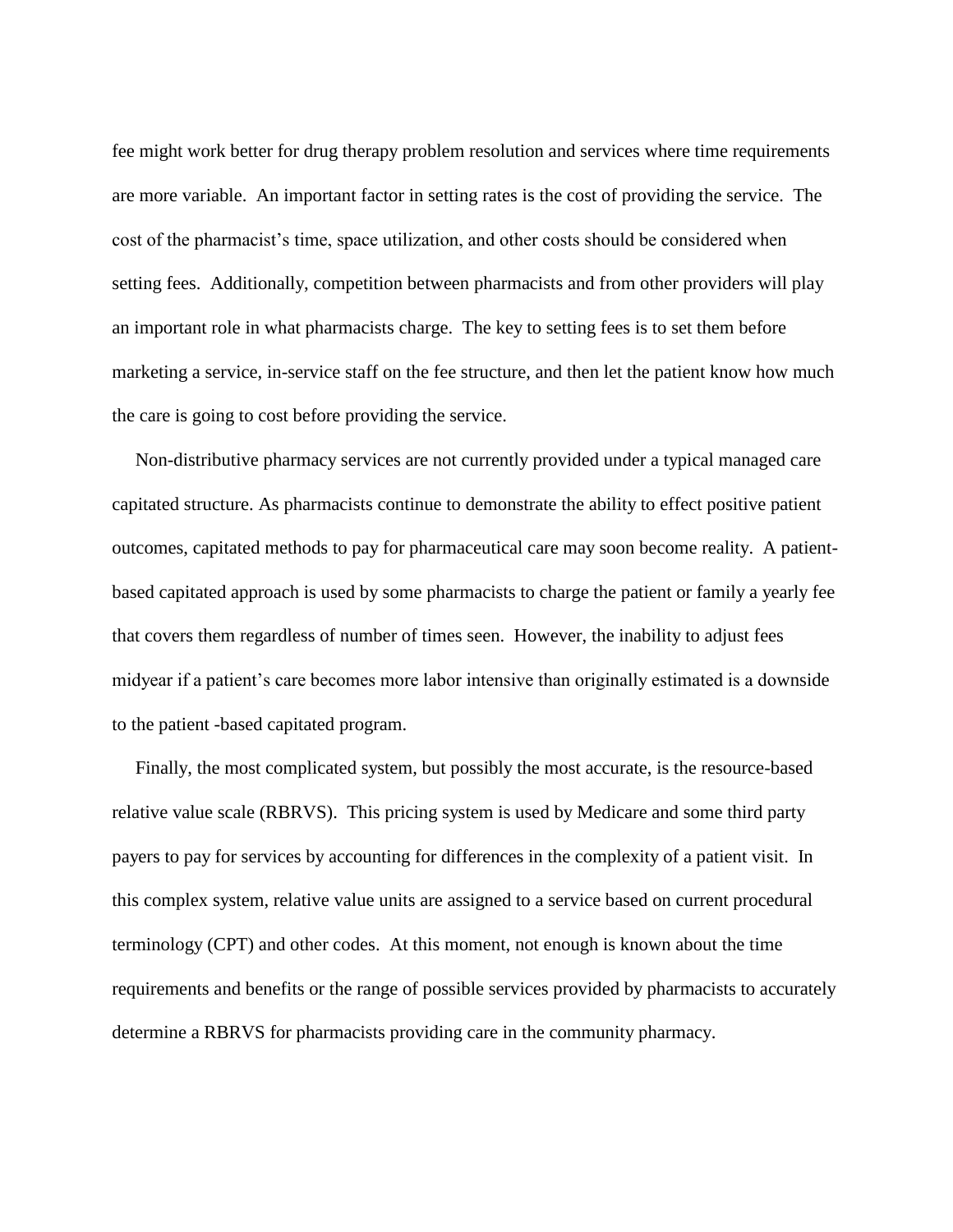fee might work better for drug therapy problem resolution and services where time requirements are more variable. An important factor in setting rates is the cost of providing the service. The cost of the pharmacist's time, space utilization, and other costs should be considered when setting fees. Additionally, competition between pharmacists and from other providers will play an important role in what pharmacists charge. The key to setting fees is to set them before marketing a service, in-service staff on the fee structure, and then let the patient know how much the care is going to cost before providing the service.

 Non-distributive pharmacy services are not currently provided under a typical managed care capitated structure. As pharmacists continue to demonstrate the ability to effect positive patient outcomes, capitated methods to pay for pharmaceutical care may soon become reality. A patientbased capitated approach is used by some pharmacists to charge the patient or family a yearly fee that covers them regardless of number of times seen. However, the inability to adjust fees midyear if a patient's care becomes more labor intensive than originally estimated is a downside to the patient -based capitated program.

 Finally, the most complicated system, but possibly the most accurate, is the resource-based relative value scale (RBRVS). This pricing system is used by Medicare and some third party payers to pay for services by accounting for differences in the complexity of a patient visit. In this complex system, relative value units are assigned to a service based on current procedural terminology (CPT) and other codes. At this moment, not enough is known about the time requirements and benefits or the range of possible services provided by pharmacists to accurately determine a RBRVS for pharmacists providing care in the community pharmacy.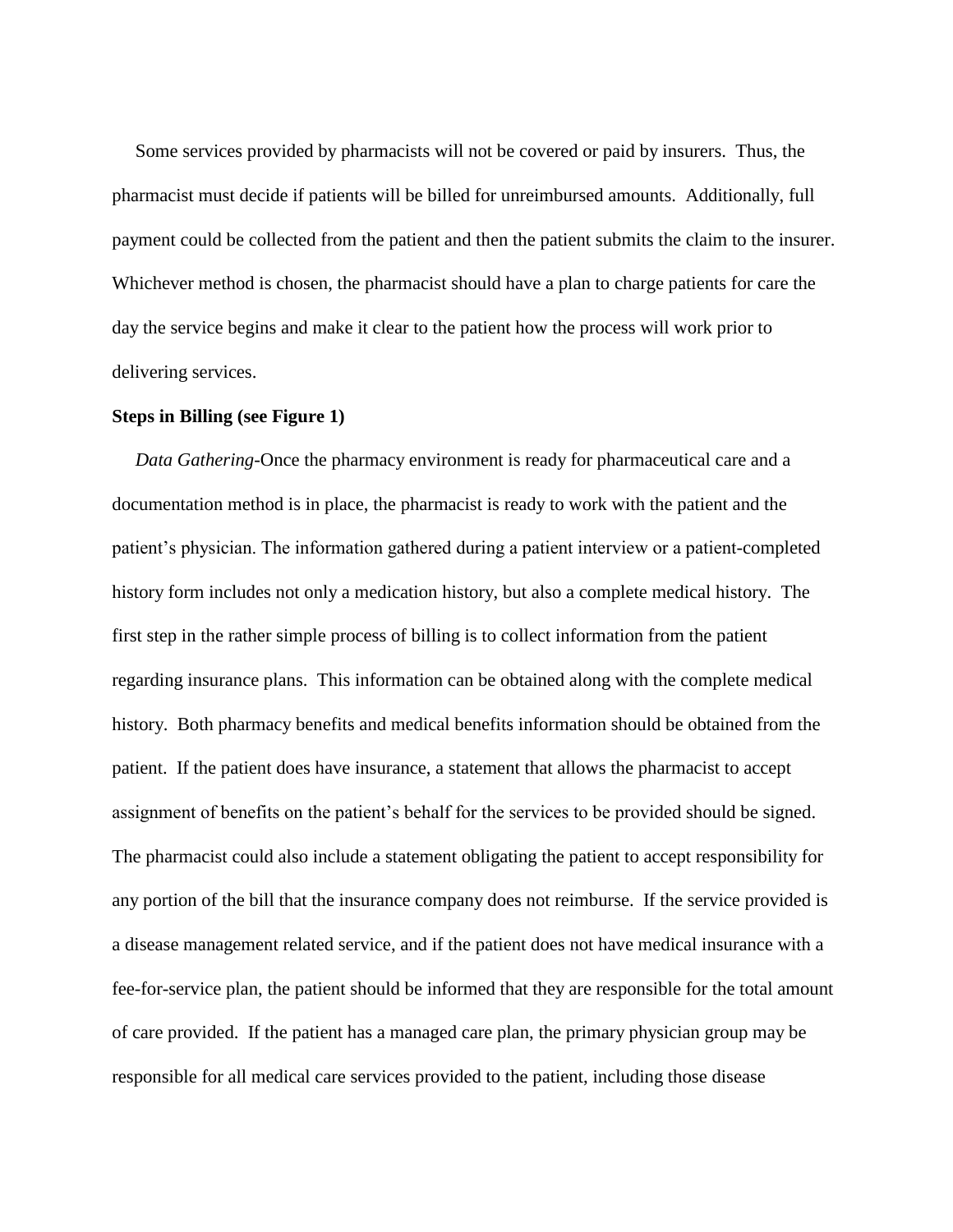Some services provided by pharmacists will not be covered or paid by insurers. Thus, the pharmacist must decide if patients will be billed for unreimbursed amounts. Additionally, full payment could be collected from the patient and then the patient submits the claim to the insurer. Whichever method is chosen, the pharmacist should have a plan to charge patients for care the day the service begins and make it clear to the patient how the process will work prior to delivering services.

#### **Steps in Billing (see Figure 1)**

 *Data Gathering*-Once the pharmacy environment is ready for pharmaceutical care and a documentation method is in place, the pharmacist is ready to work with the patient and the patient's physician. The information gathered during a patient interview or a patient-completed history form includes not only a medication history, but also a complete medical history. The first step in the rather simple process of billing is to collect information from the patient regarding insurance plans. This information can be obtained along with the complete medical history. Both pharmacy benefits and medical benefits information should be obtained from the patient. If the patient does have insurance, a statement that allows the pharmacist to accept assignment of benefits on the patient's behalf for the services to be provided should be signed. The pharmacist could also include a statement obligating the patient to accept responsibility for any portion of the bill that the insurance company does not reimburse. If the service provided is a disease management related service, and if the patient does not have medical insurance with a fee-for-service plan, the patient should be informed that they are responsible for the total amount of care provided. If the patient has a managed care plan, the primary physician group may be responsible for all medical care services provided to the patient, including those disease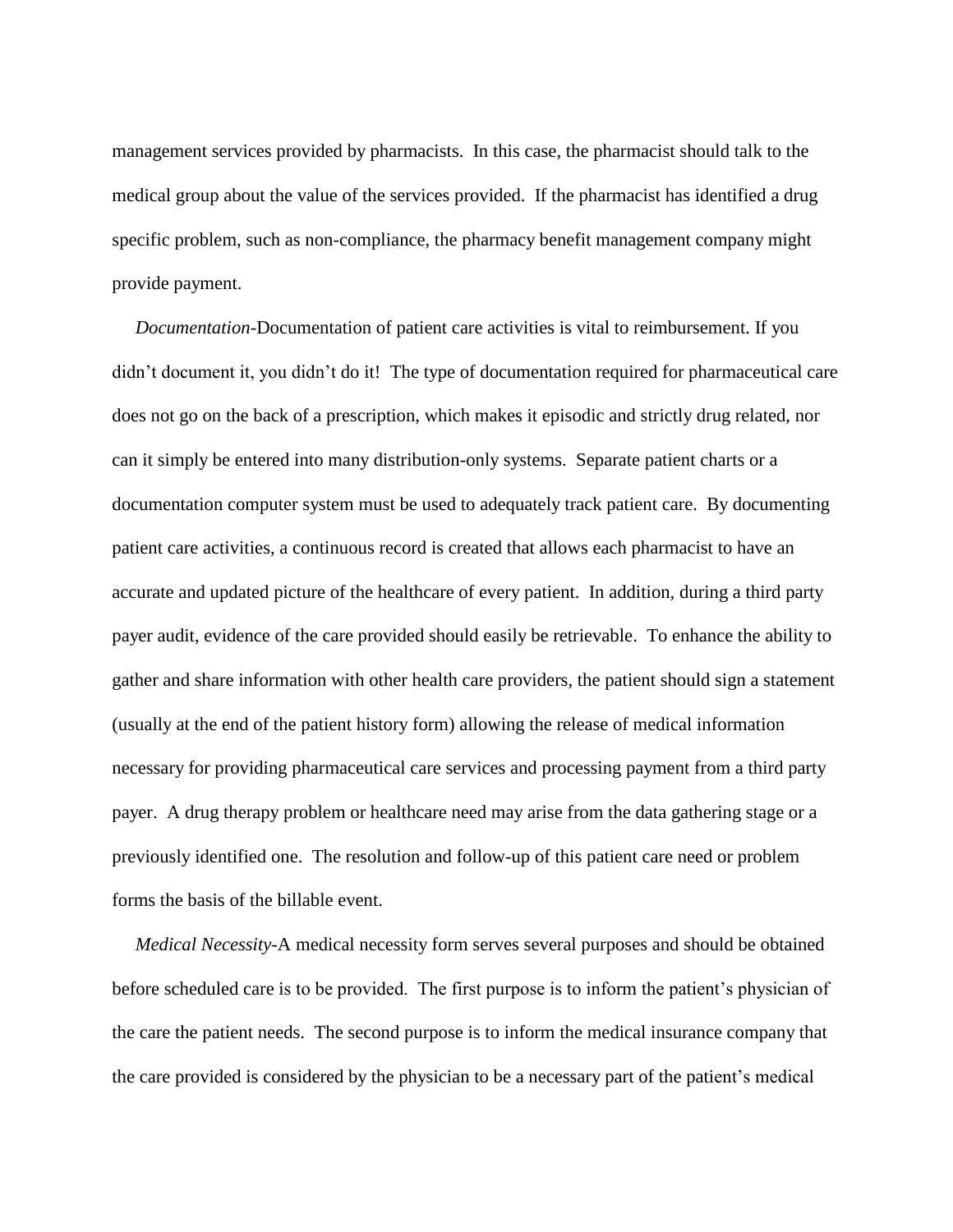management services provided by pharmacists. In this case, the pharmacist should talk to the medical group about the value of the services provided. If the pharmacist has identified a drug specific problem, such as non-compliance, the pharmacy benefit management company might provide payment.

 *Documentation-*Documentation of patient care activities is vital to reimbursement. If you didn't document it, you didn't do it! The type of documentation required for pharmaceutical care does not go on the back of a prescription, which makes it episodic and strictly drug related, nor can it simply be entered into many distribution-only systems. Separate patient charts or a documentation computer system must be used to adequately track patient care. By documenting patient care activities, a continuous record is created that allows each pharmacist to have an accurate and updated picture of the healthcare of every patient. In addition, during a third party payer audit, evidence of the care provided should easily be retrievable. To enhance the ability to gather and share information with other health care providers, the patient should sign a statement (usually at the end of the patient history form) allowing the release of medical information necessary for providing pharmaceutical care services and processing payment from a third party payer. A drug therapy problem or healthcare need may arise from the data gathering stage or a previously identified one. The resolution and follow-up of this patient care need or problem forms the basis of the billable event.

 *Medical Necessity-*A medical necessity form serves several purposes and should be obtained before scheduled care is to be provided. The first purpose is to inform the patient's physician of the care the patient needs. The second purpose is to inform the medical insurance company that the care provided is considered by the physician to be a necessary part of the patient's medical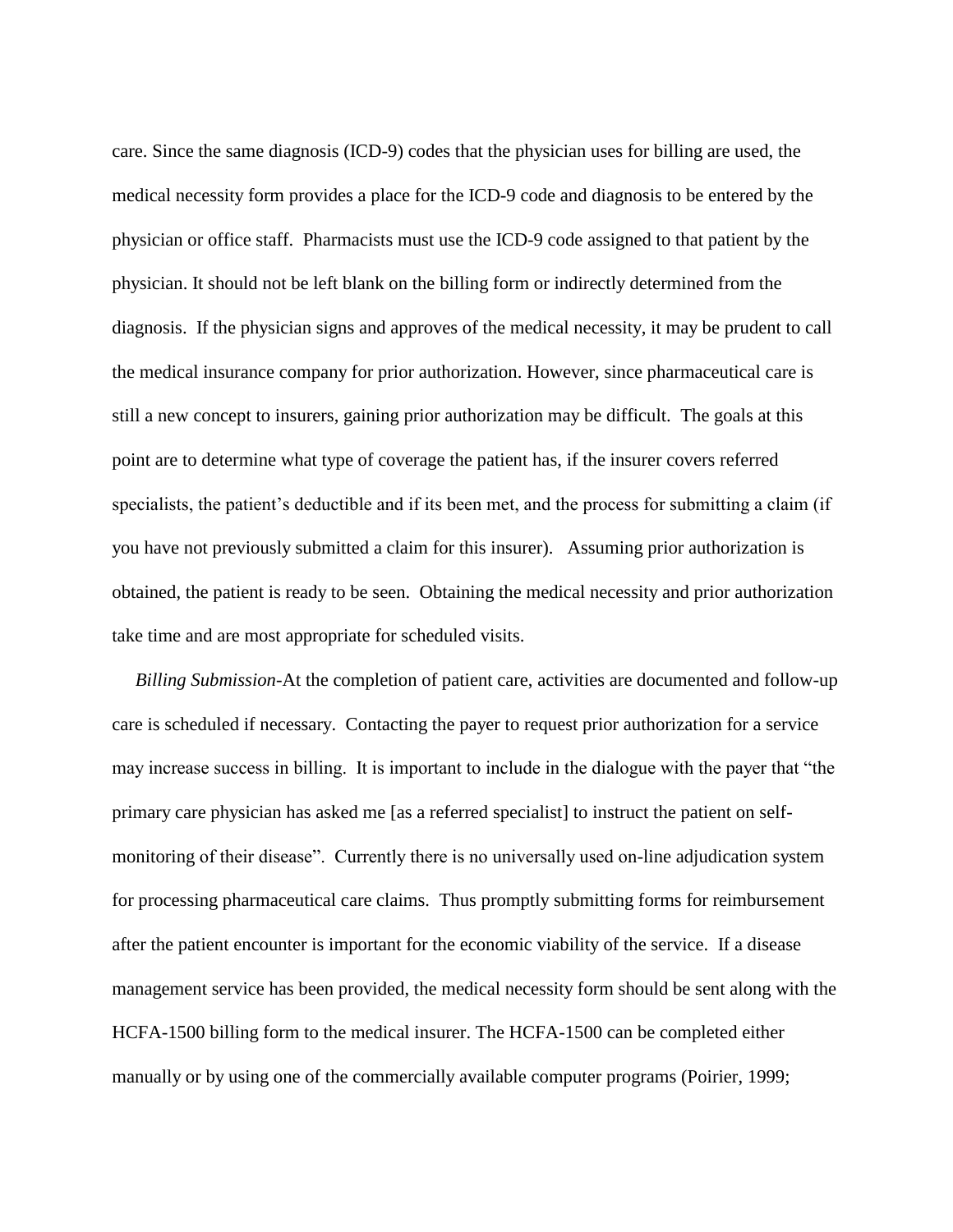care. Since the same diagnosis (ICD-9) codes that the physician uses for billing are used, the medical necessity form provides a place for the ICD-9 code and diagnosis to be entered by the physician or office staff. Pharmacists must use the ICD-9 code assigned to that patient by the physician. It should not be left blank on the billing form or indirectly determined from the diagnosis. If the physician signs and approves of the medical necessity, it may be prudent to call the medical insurance company for prior authorization. However, since pharmaceutical care is still a new concept to insurers, gaining prior authorization may be difficult. The goals at this point are to determine what type of coverage the patient has, if the insurer covers referred specialists, the patient's deductible and if its been met, and the process for submitting a claim (if you have not previously submitted a claim for this insurer). Assuming prior authorization is obtained, the patient is ready to be seen. Obtaining the medical necessity and prior authorization take time and are most appropriate for scheduled visits.

 *Billing Submission*-At the completion of patient care, activities are documented and follow-up care is scheduled if necessary. Contacting the payer to request prior authorization for a service may increase success in billing. It is important to include in the dialogue with the payer that "the primary care physician has asked me [as a referred specialist] to instruct the patient on selfmonitoring of their disease". Currently there is no universally used on-line adjudication system for processing pharmaceutical care claims. Thus promptly submitting forms for reimbursement after the patient encounter is important for the economic viability of the service. If a disease management service has been provided, the medical necessity form should be sent along with the HCFA-1500 billing form to the medical insurer. The HCFA-1500 can be completed either manually or by using one of the commercially available computer programs (Poirier, 1999;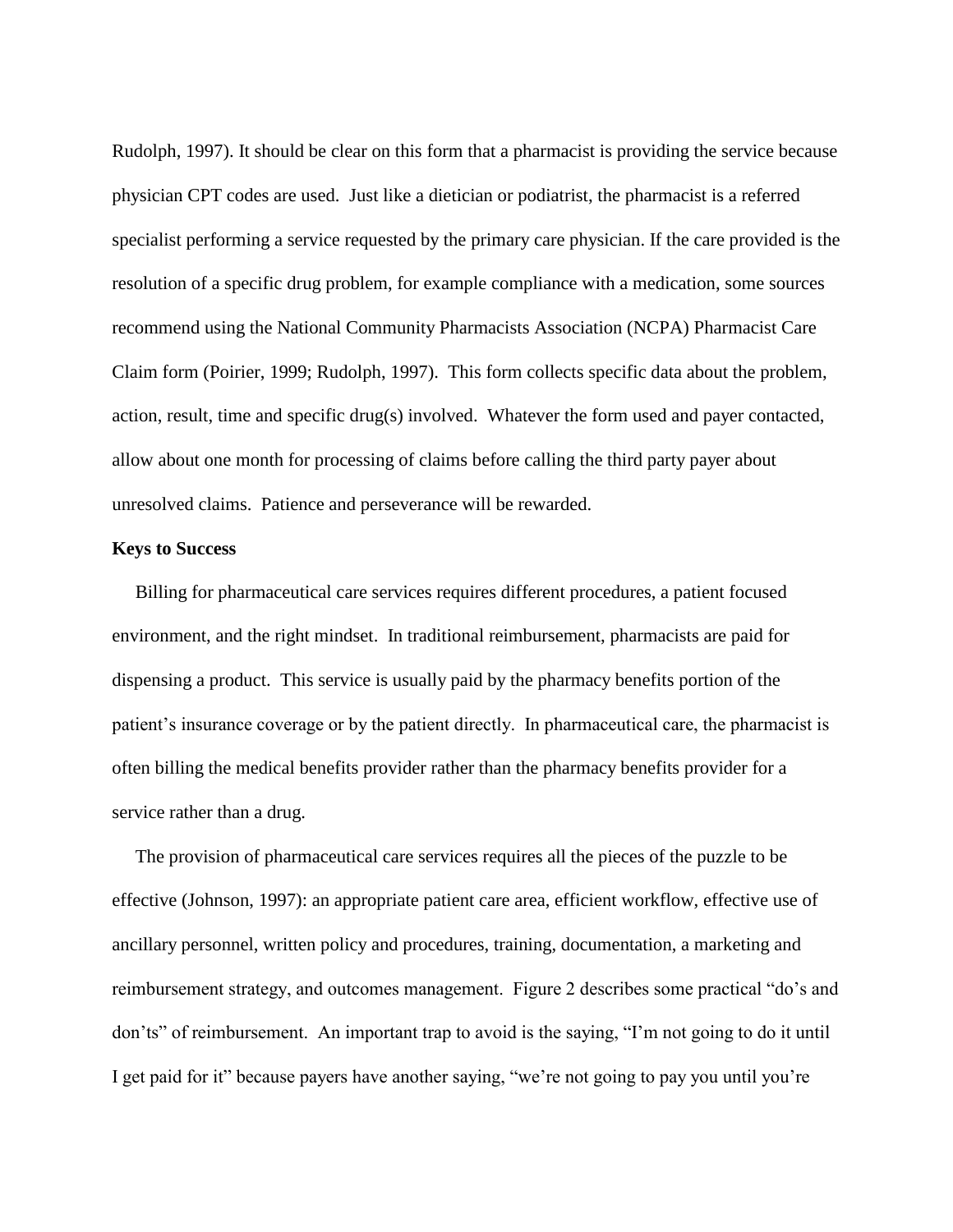Rudolph, 1997). It should be clear on this form that a pharmacist is providing the service because physician CPT codes are used. Just like a dietician or podiatrist, the pharmacist is a referred specialist performing a service requested by the primary care physician. If the care provided is the resolution of a specific drug problem, for example compliance with a medication, some sources recommend using the National Community Pharmacists Association (NCPA) Pharmacist Care Claim form (Poirier, 1999; Rudolph, 1997). This form collects specific data about the problem, action, result, time and specific drug(s) involved. Whatever the form used and payer contacted, allow about one month for processing of claims before calling the third party payer about unresolved claims. Patience and perseverance will be rewarded.

## **Keys to Success**

 Billing for pharmaceutical care services requires different procedures, a patient focused environment, and the right mindset. In traditional reimbursement, pharmacists are paid for dispensing a product. This service is usually paid by the pharmacy benefits portion of the patient's insurance coverage or by the patient directly. In pharmaceutical care, the pharmacist is often billing the medical benefits provider rather than the pharmacy benefits provider for a service rather than a drug.

 The provision of pharmaceutical care services requires all the pieces of the puzzle to be effective (Johnson, 1997): an appropriate patient care area, efficient workflow, effective use of ancillary personnel, written policy and procedures, training, documentation, a marketing and reimbursement strategy, and outcomes management. Figure 2 describes some practical "do's and don'ts" of reimbursement. An important trap to avoid is the saying, "I'm not going to do it until I get paid for it" because payers have another saying, "we're not going to pay you until you're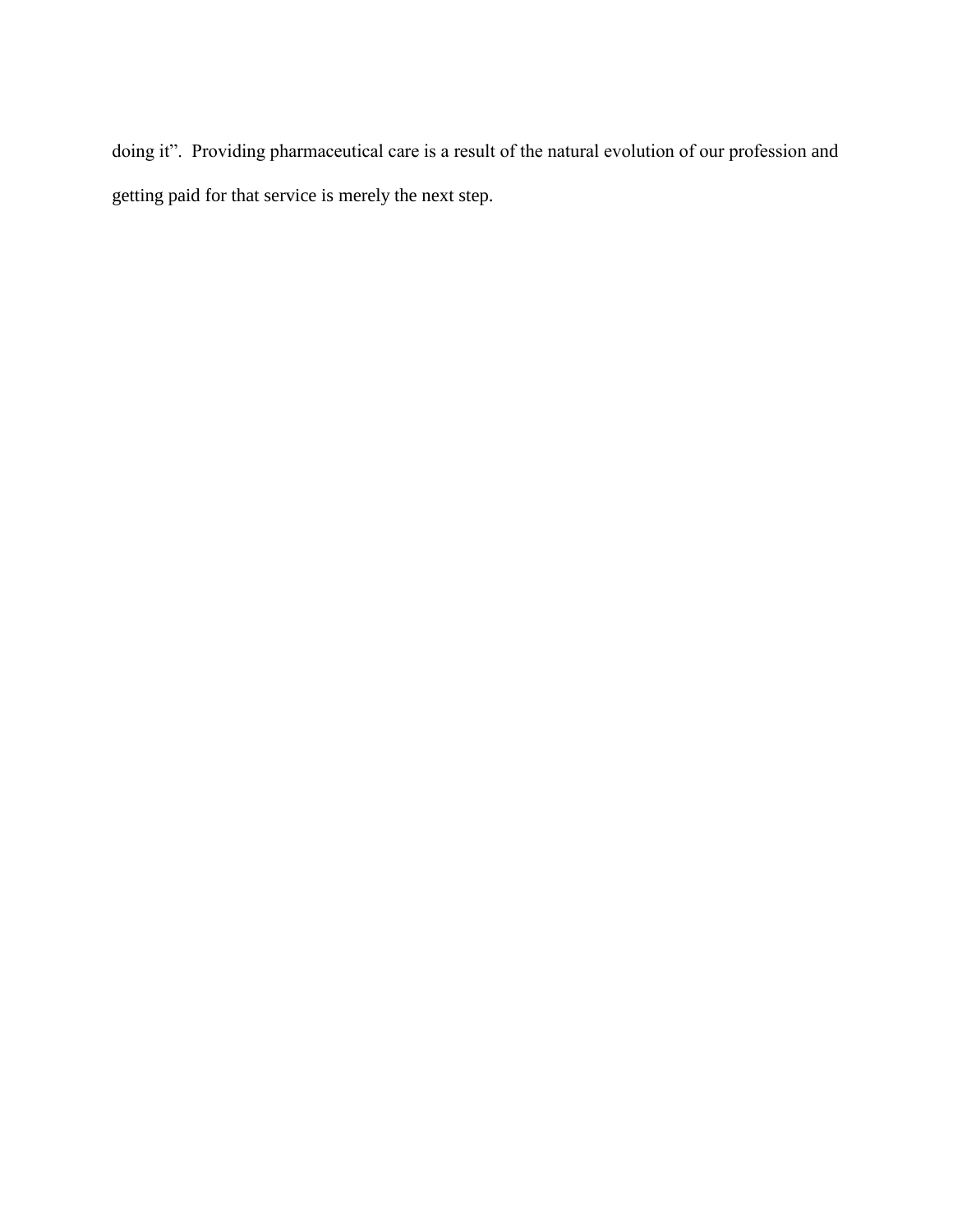doing it". Providing pharmaceutical care is a result of the natural evolution of our profession and getting paid for that service is merely the next step.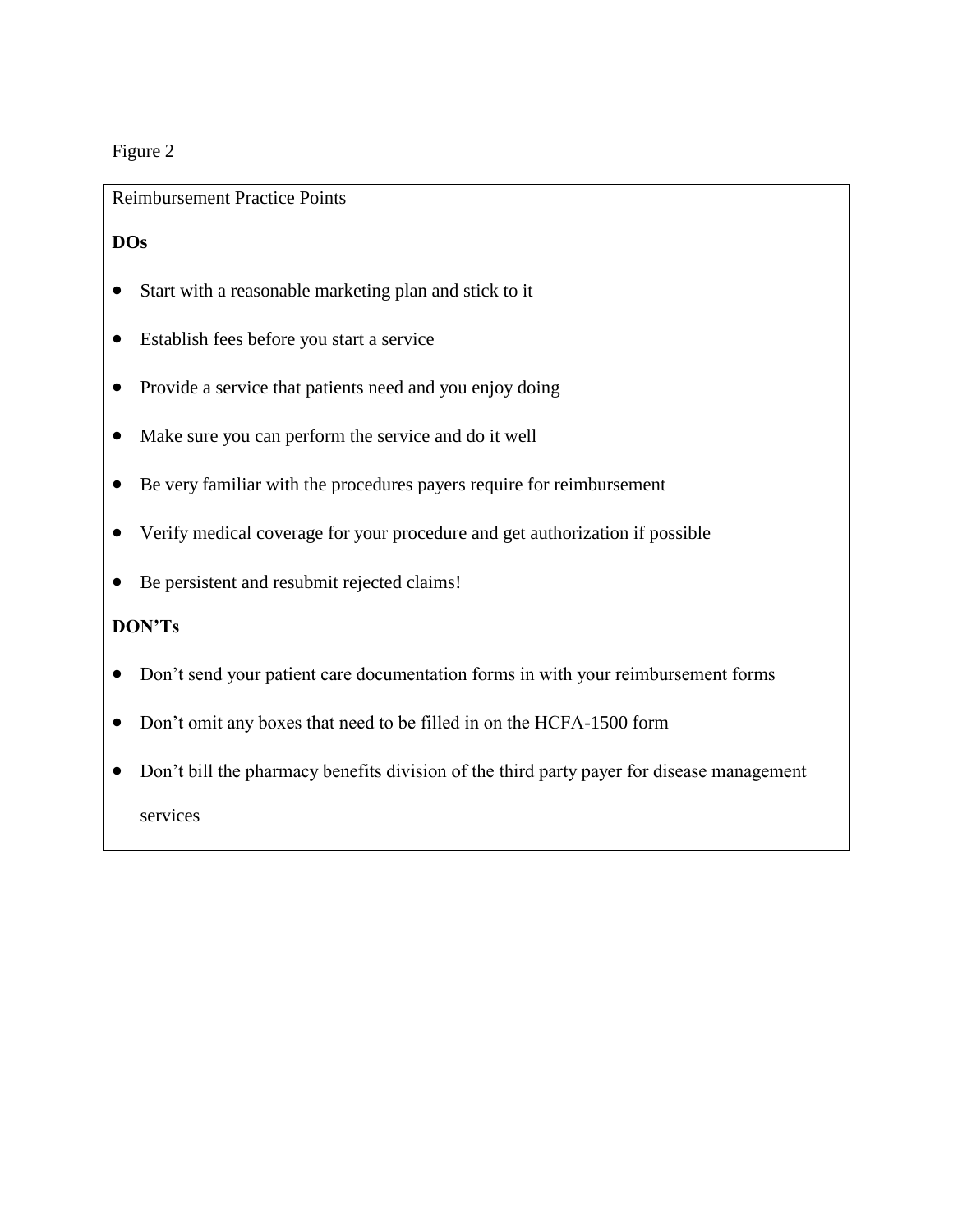Figure 2

Reimbursement Practice Points

## **DOs**

- Start with a reasonable marketing plan and stick to it
- Establish fees before you start a service
- Provide a service that patients need and you enjoy doing
- Make sure you can perform the service and do it well
- Be very familiar with the procedures payers require for reimbursement
- Verify medical coverage for your procedure and get authorization if possible
- Be persistent and resubmit rejected claims!

## **DON'Ts**

- Don't send your patient care documentation forms in with your reimbursement forms
- Don't omit any boxes that need to be filled in on the HCFA-1500 form
- Don't bill the pharmacy benefits division of the third party payer for disease management services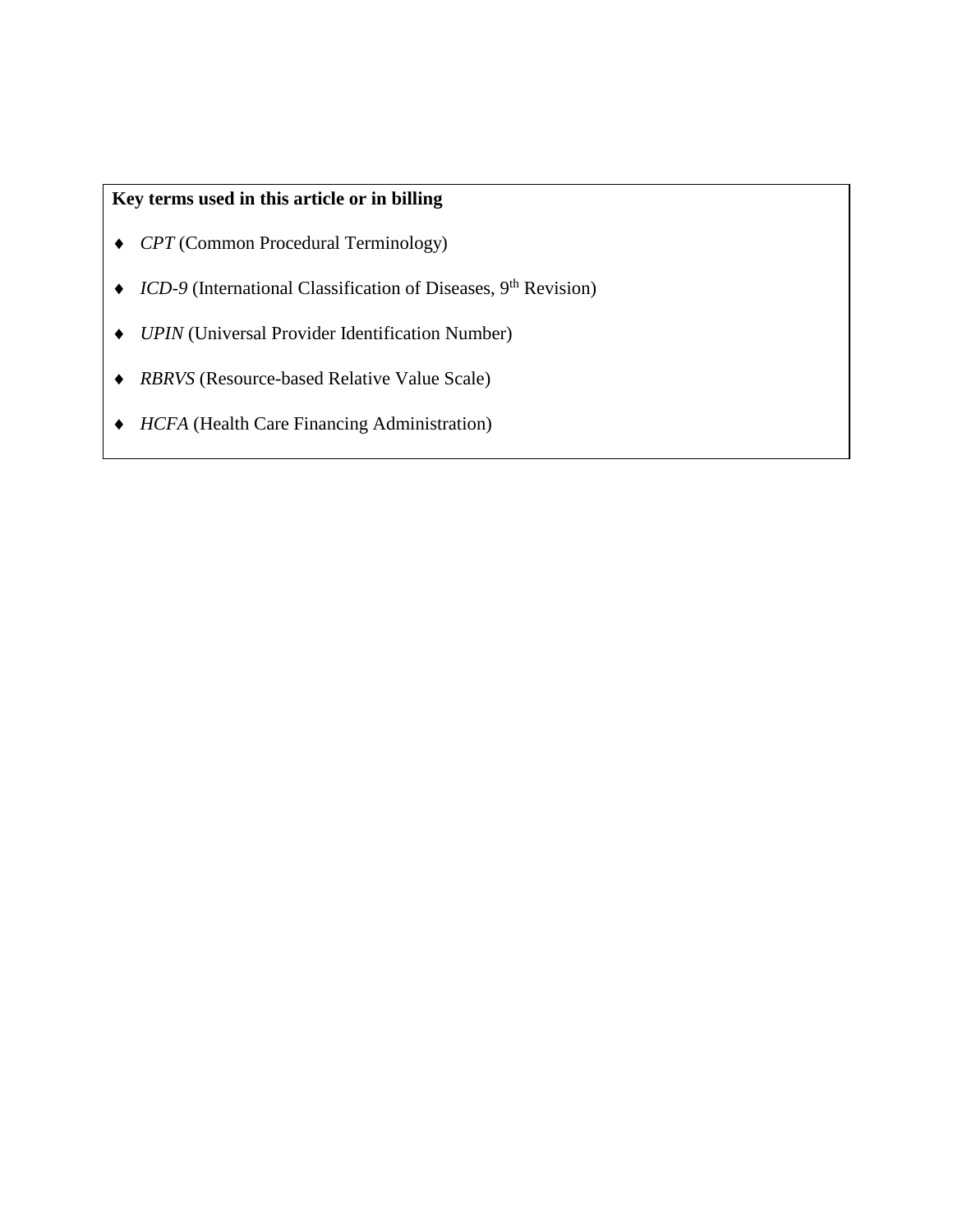## **Key terms used in this article or in billing**

- ◆ CPT (Common Procedural Terminology)
- ◆ *ICD-9* (International Classification of Diseases, 9<sup>th</sup> Revision)
- ◆ *UPIN* (Universal Provider Identification Number)
- ◆ *RBRVS* (Resource-based Relative Value Scale)
- *HCFA* (Health Care Financing Administration)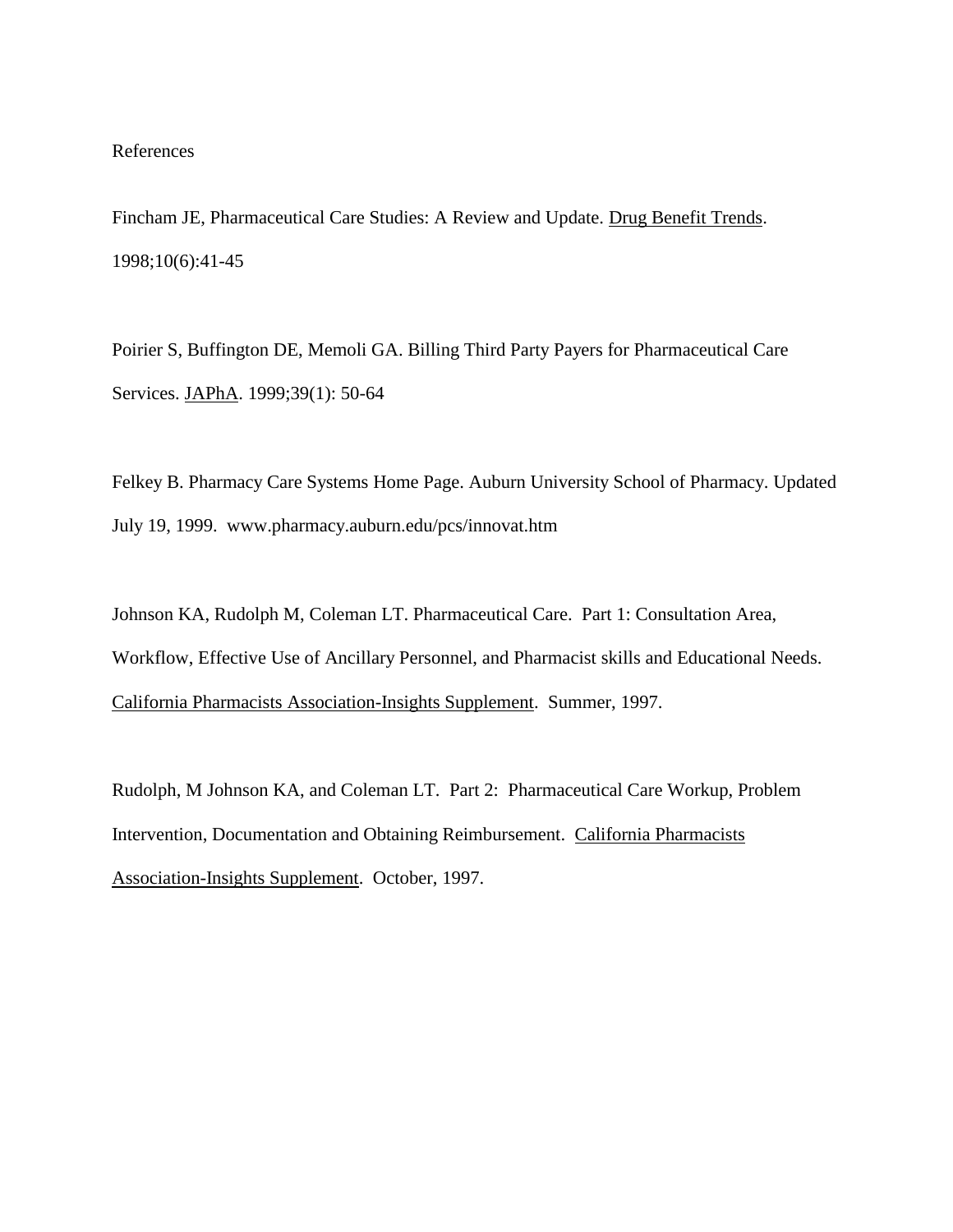#### References

Fincham JE, Pharmaceutical Care Studies: A Review and Update. Drug Benefit Trends. 1998;10(6):41-45

Poirier S, Buffington DE, Memoli GA. Billing Third Party Payers for Pharmaceutical Care Services. JAPhA. 1999;39(1): 50-64

Felkey B. Pharmacy Care Systems Home Page. Auburn University School of Pharmacy. Updated July 19, 1999. www.pharmacy.auburn.edu/pcs/innovat.htm

Johnson KA, Rudolph M, Coleman LT. Pharmaceutical Care. Part 1: Consultation Area, Workflow, Effective Use of Ancillary Personnel, and Pharmacist skills and Educational Needs. California Pharmacists Association-Insights Supplement. Summer, 1997.

Rudolph, M Johnson KA, and Coleman LT. Part 2: Pharmaceutical Care Workup, Problem Intervention, Documentation and Obtaining Reimbursement. California Pharmacists Association-Insights Supplement. October, 1997.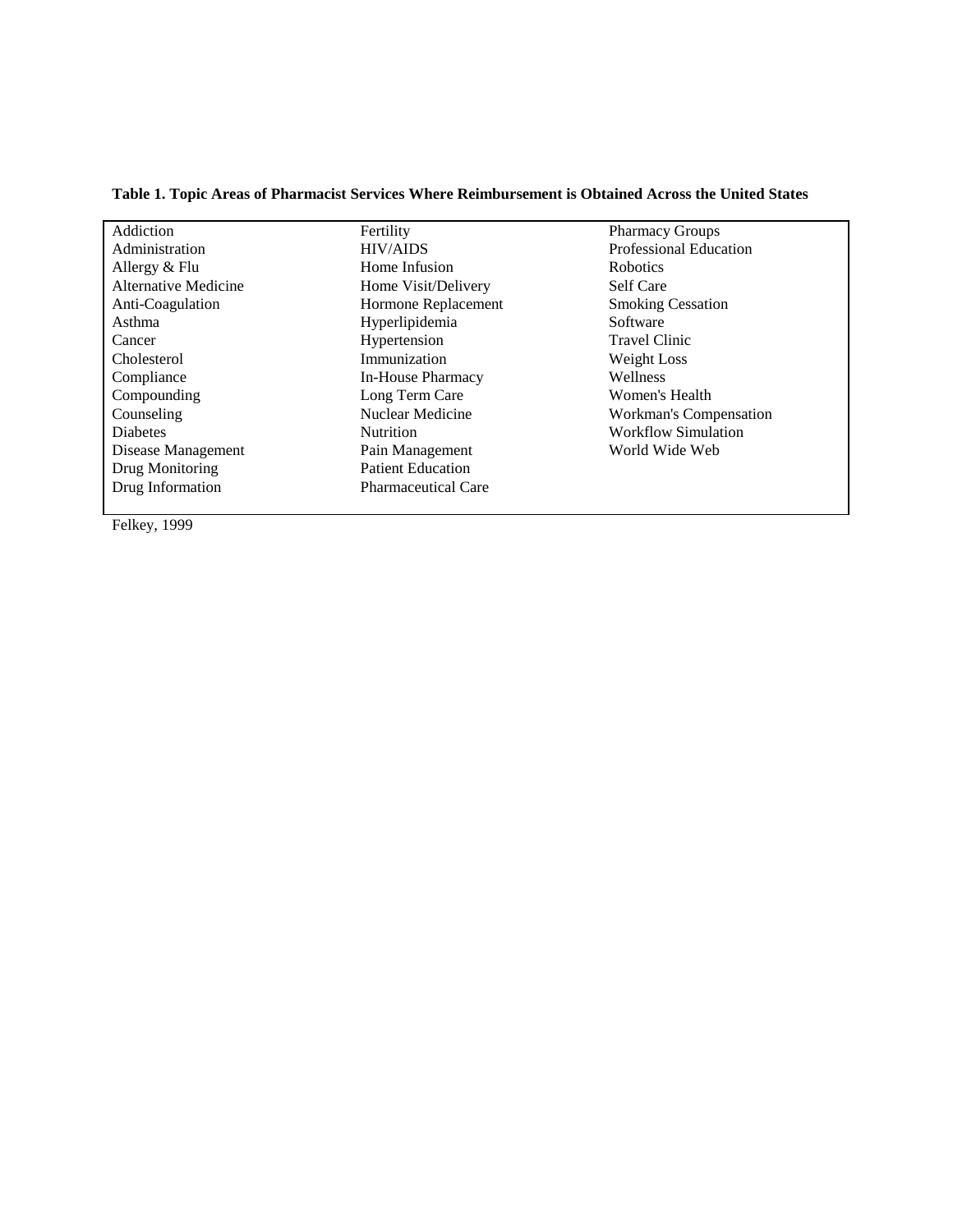| Addiction            | Fertility                  | <b>Pharmacy Groups</b>        |
|----------------------|----------------------------|-------------------------------|
| Administration       | <b>HIV/AIDS</b>            | <b>Professional Education</b> |
| Allergy & Flu        | Home Infusion              | Robotics                      |
| Alternative Medicine | Home Visit/Delivery        | Self Care                     |
| Anti-Coagulation     | Hormone Replacement        | <b>Smoking Cessation</b>      |
| Asthma               | Hyperlipidemia             | Software                      |
| Cancer               | Hypertension               | <b>Travel Clinic</b>          |
| Cholesterol          | Immunization               | Weight Loss                   |
| Compliance           | In-House Pharmacy          | Wellness                      |
| Compounding          | Long Term Care             | Women's Health                |
| Counseling           | Nuclear Medicine           | Workman's Compensation        |
| <b>Diabetes</b>      | <b>Nutrition</b>           | Workflow Simulation           |
| Disease Management   | Pain Management            | World Wide Web                |
| Drug Monitoring      | <b>Patient Education</b>   |                               |
| Drug Information     | <b>Pharmaceutical Care</b> |                               |
|                      |                            |                               |

## **Table 1. Topic Areas of Pharmacist Services Where Reimbursement is Obtained Across the United States**

Felkey, 1999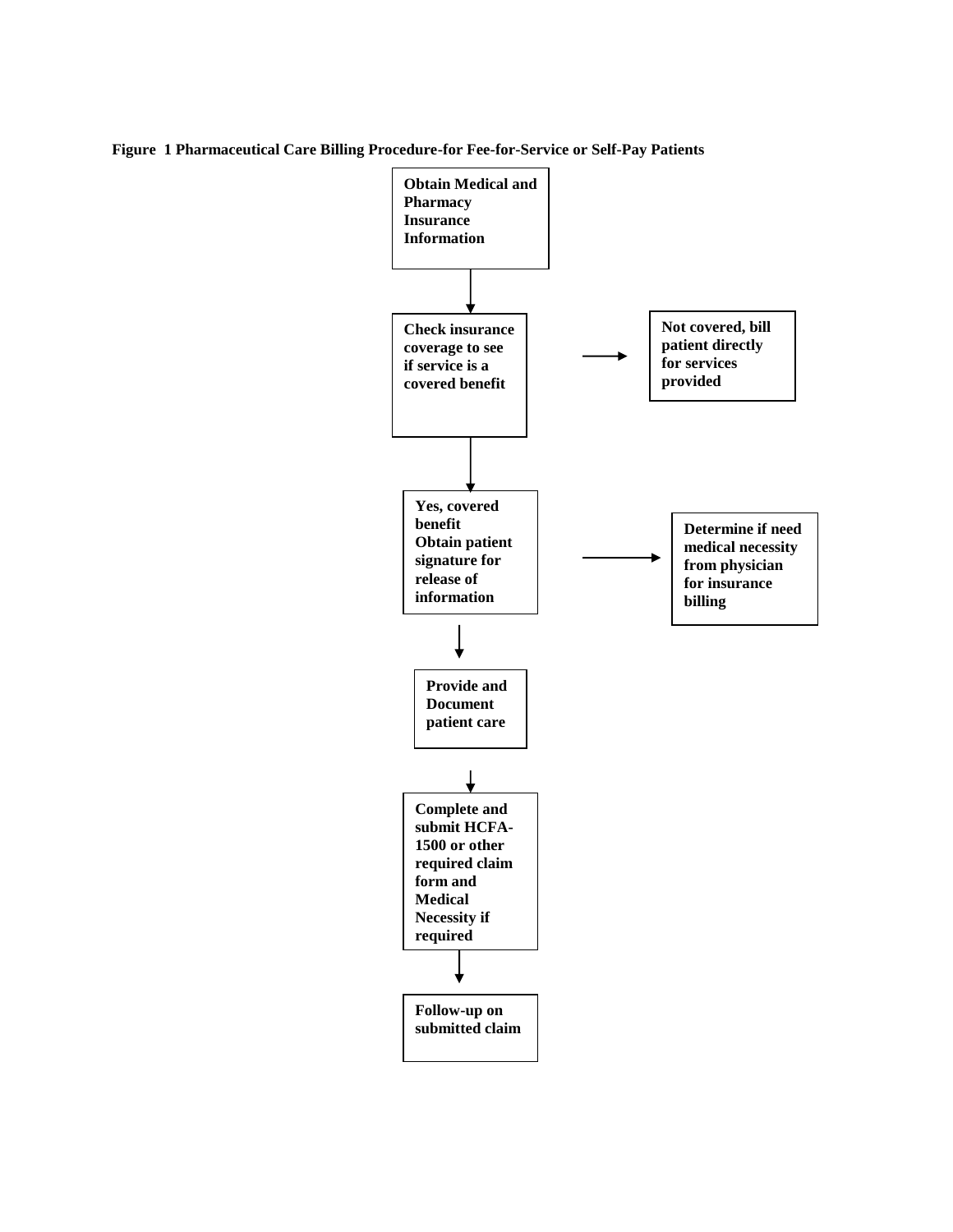**Figure 1 Pharmaceutical Care Billing Procedure-for Fee-for-Service or Self-Pay Patients**

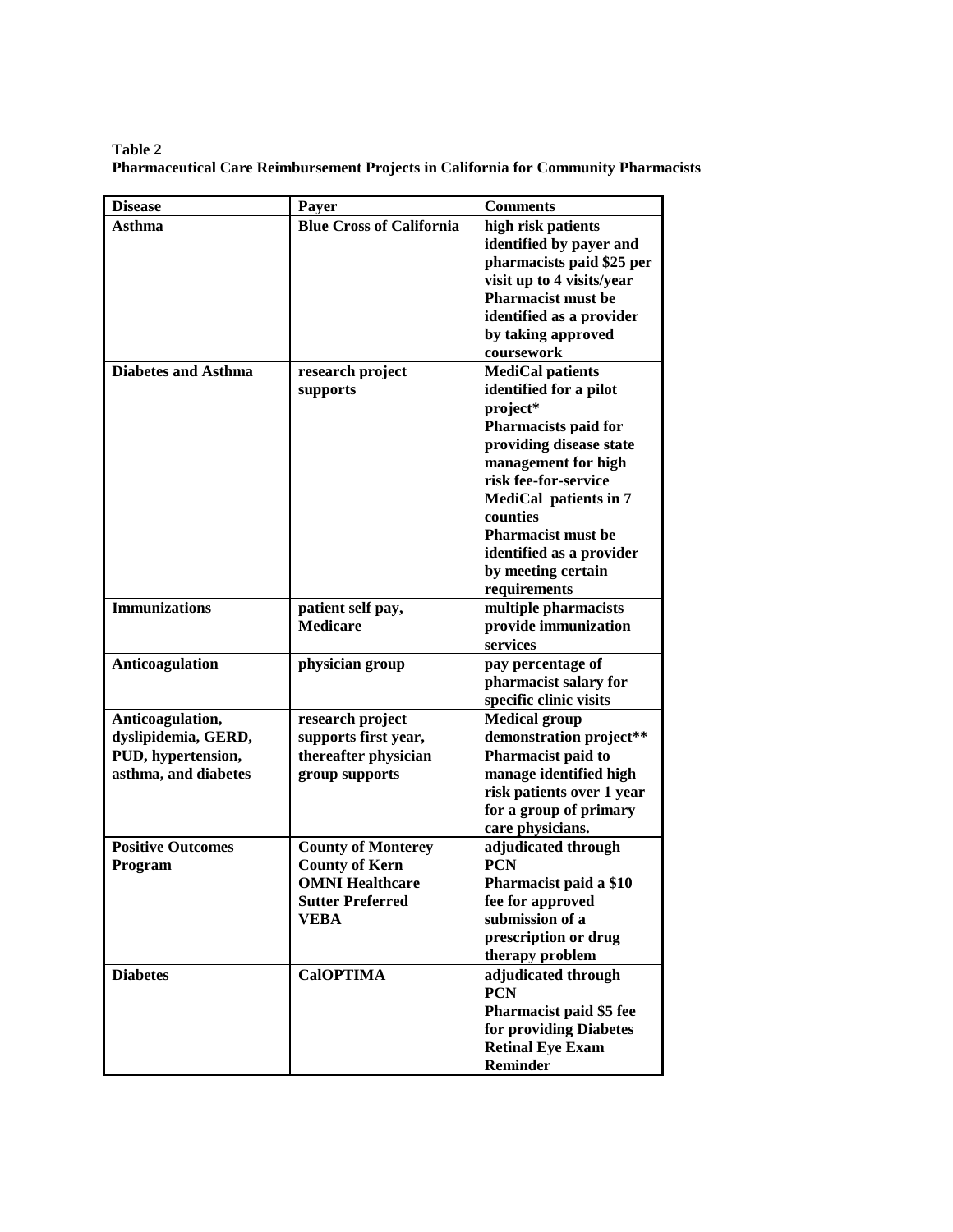**Table 2 Pharmaceutical Care Reimbursement Projects in California for Community Pharmacists**

| <b>Disease</b>             | <b>Payer</b>                    | <b>Comments</b>                |
|----------------------------|---------------------------------|--------------------------------|
| <b>Asthma</b>              | <b>Blue Cross of California</b> | high risk patients             |
|                            |                                 | identified by payer and        |
|                            |                                 | pharmacists paid \$25 per      |
|                            |                                 | visit up to 4 visits/year      |
|                            |                                 | <b>Pharmacist must be</b>      |
|                            |                                 | identified as a provider       |
|                            |                                 | by taking approved             |
|                            |                                 | coursework                     |
| <b>Diabetes and Asthma</b> | research project                | <b>MediCal patients</b>        |
|                            | supports                        | identified for a pilot         |
|                            |                                 | project*                       |
|                            |                                 | Pharmacists paid for           |
|                            |                                 | providing disease state        |
|                            |                                 | management for high            |
|                            |                                 | risk fee-for-service           |
|                            |                                 | <b>MediCal patients in 7</b>   |
|                            |                                 | counties                       |
|                            |                                 |                                |
|                            |                                 | <b>Pharmacist must be</b>      |
|                            |                                 | identified as a provider       |
|                            |                                 | by meeting certain             |
|                            |                                 | requirements                   |
| <b>Immunizations</b>       | patient self pay,               | multiple pharmacists           |
|                            | <b>Medicare</b>                 | provide immunization           |
|                            |                                 | services                       |
| Anticoagulation            | physician group                 | pay percentage of              |
|                            |                                 | pharmacist salary for          |
|                            |                                 | specific clinic visits         |
| Anticoagulation,           | research project                | <b>Medical group</b>           |
| dyslipidemia, GERD,        | supports first year,            | demonstration project**        |
| PUD, hypertension,         | thereafter physician            | Pharmacist paid to             |
| asthma, and diabetes       | group supports                  | manage identified high         |
|                            |                                 | risk patients over 1 year      |
|                            |                                 | for a group of primary         |
|                            |                                 | care physicians.               |
| <b>Positive Outcomes</b>   | <b>County of Monterey</b>       | adjudicated through            |
| Program                    | <b>County of Kern</b>           | <b>PCN</b>                     |
|                            | <b>OMNI Healthcare</b>          | Pharmacist paid a \$10         |
|                            | <b>Sutter Preferred</b>         | fee for approved               |
|                            | <b>VEBA</b>                     | submission of a                |
|                            |                                 | prescription or drug           |
|                            |                                 | therapy problem                |
| <b>Diabetes</b>            | <b>CalOPTIMA</b>                | adjudicated through            |
|                            |                                 | <b>PCN</b>                     |
|                            |                                 | <b>Pharmacist paid \$5 fee</b> |
|                            |                                 | for providing Diabetes         |
|                            |                                 | <b>Retinal Eye Exam</b>        |
|                            |                                 | Reminder                       |
|                            |                                 |                                |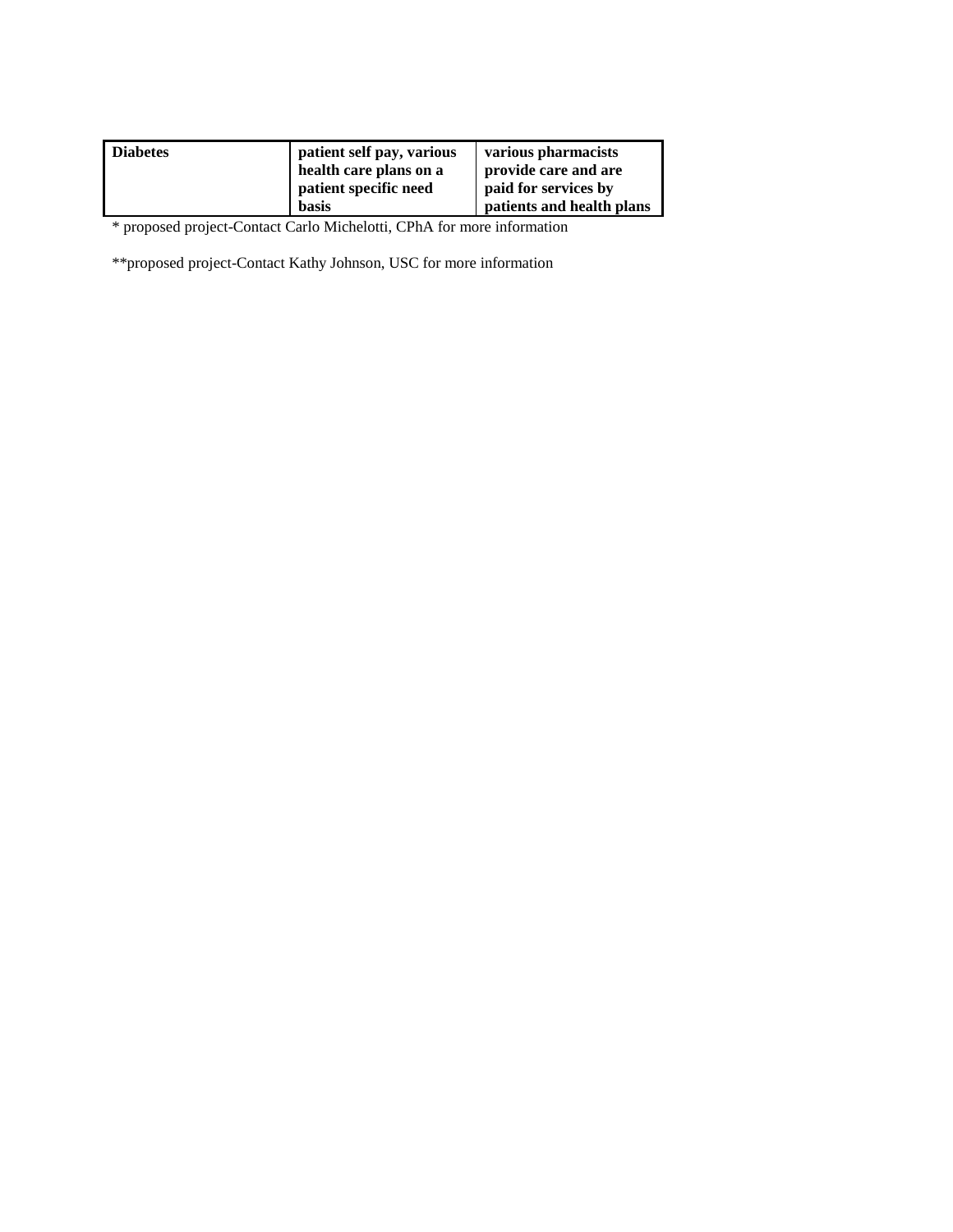| <b>Diabetes</b> | patient self pay, various | various pharmacists       |
|-----------------|---------------------------|---------------------------|
|                 | health care plans on a    | provide care and are      |
|                 | patient specific need     | paid for services by      |
|                 | <b>basis</b>              | patients and health plans |

\* proposed project-Contact Carlo Michelotti, CPhA for more information

\*\*proposed project-Contact Kathy Johnson, USC for more information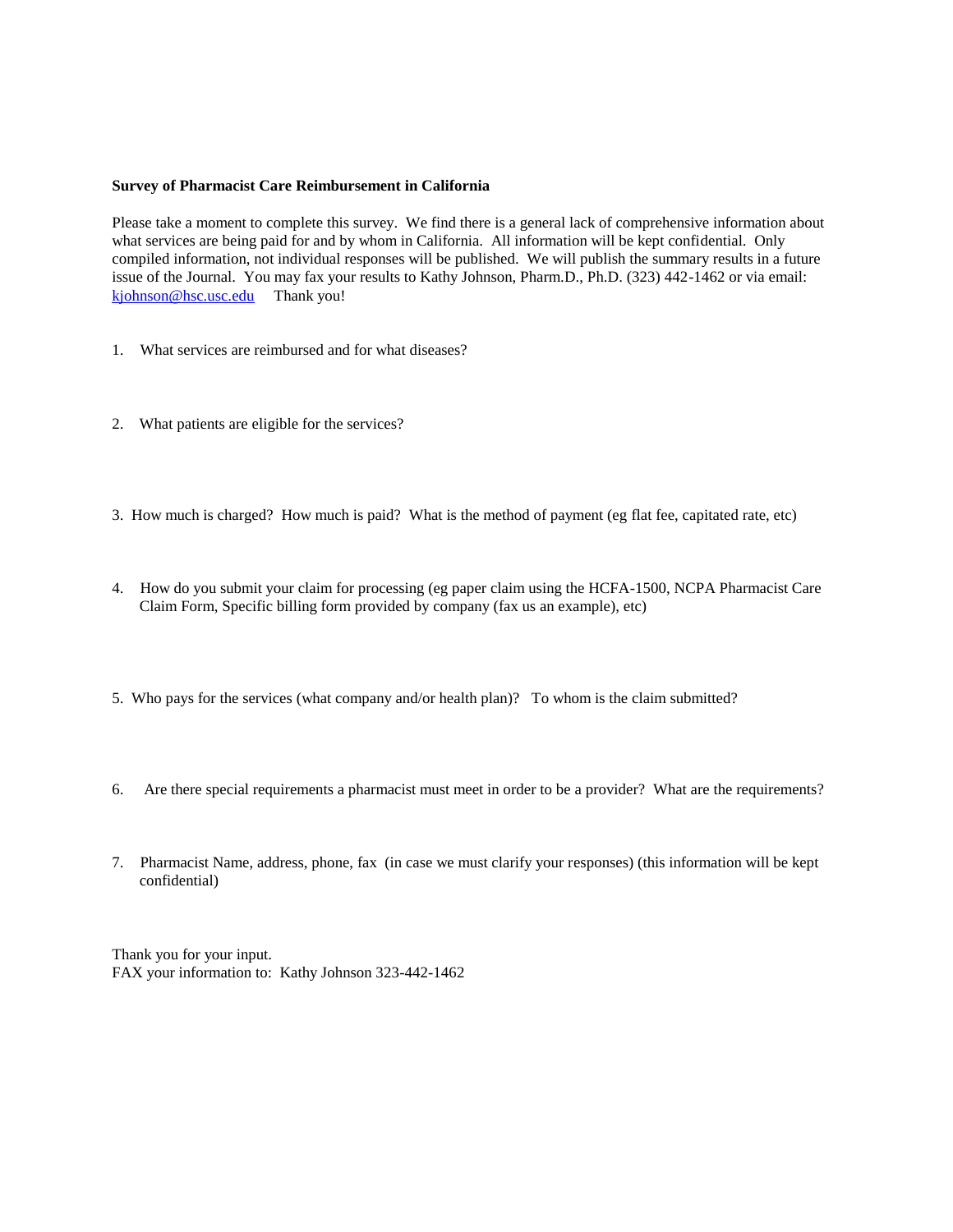#### **Survey of Pharmacist Care Reimbursement in California**

Please take a moment to complete this survey. We find there is a general lack of comprehensive information about what services are being paid for and by whom in California. All information will be kept confidential. Only compiled information, not individual responses will be published. We will publish the summary results in a future issue of the Journal. You may fax your results to Kathy Johnson, Pharm.D., Ph.D. (323) 442-1462 or via email: [kjohnson@hsc.usc.edu](mailto:kjohnson@hsc.usc.edu) Thank you!

- 1. What services are reimbursed and for what diseases?
- 2. What patients are eligible for the services?
- 3. How much is charged? How much is paid? What is the method of payment (eg flat fee, capitated rate, etc)
- 4. How do you submit your claim for processing (eg paper claim using the HCFA-1500, NCPA Pharmacist Care Claim Form, Specific billing form provided by company (fax us an example), etc)
- 5. Who pays for the services (what company and/or health plan)? To whom is the claim submitted?
- 6. Are there special requirements a pharmacist must meet in order to be a provider? What are the requirements?
- 7. Pharmacist Name, address, phone, fax (in case we must clarify your responses) (this information will be kept confidential)

Thank you for your input. FAX your information to: Kathy Johnson 323-442-1462